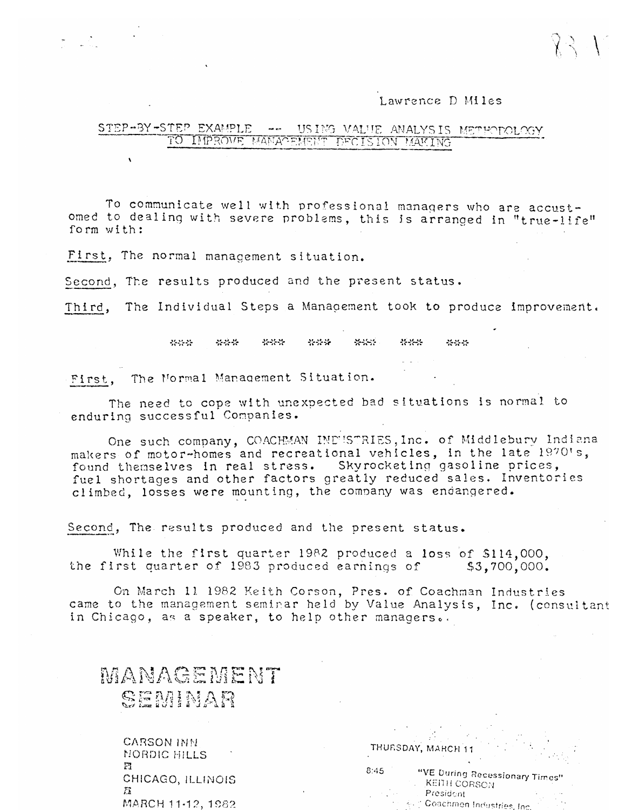## Lawrence D Miles

## STEP-BY-STEP EXAMPLE and are USING VALUE ANALYSIS METHODOLOGY TO IMPROVE MANAGEMENT DECISION MAKING

To communicate well with professional managers who are accustomed to dealing with severe problems, this is arranged in "true-life" form with:

First, The normal management situation.

Second, The results produced and the present status.

The Individual Steps a Management took to produce improvement. Third,

> \*\*\* \*\*\* \*\*\* \*\*\*  $2.117$ \*\*\* \*\*\*

First, The Mormal Management Situation.

The need to cope with unexpected bad situations is normal to enduring successful Companies.

One such company, COACHMAN INDUSTRIES, Inc. of Middlebury Indiana makers of motor-homes and recreational vehicles, in the late 1970's, found themselves in real stress. Skyrocketing gasoline prices, fuel shortages and other factors greatly reduced sales. Inventories climbed, losses were mounting, the company was endangered.

Second, The results produced and the present status.

While the first quarter 1982 produced a loss of \$114,000, the first quarter of 1983 produced earnings of  $$3,700,000.$ 

On March 11 1982 Keith Corson, Pres. of Coachman Industries came to the management seminar held by Value Analysis, Inc. (consultant in Chicago, as a speaker, to help other managers..

MANAGEMENT SEMINAR

> CARSON INN MORDIC HILLS Ħ CHICAGO, ILLINOIS MARCH 11-12, 1982

| -8:45 | "VE During Recessionary Times"<br>KEITH CORSON |  |
|-------|------------------------------------------------|--|
|       | President                                      |  |
|       | 4. Coachmen Industries, Inc.                   |  |

THURSDAY, MARCH 11